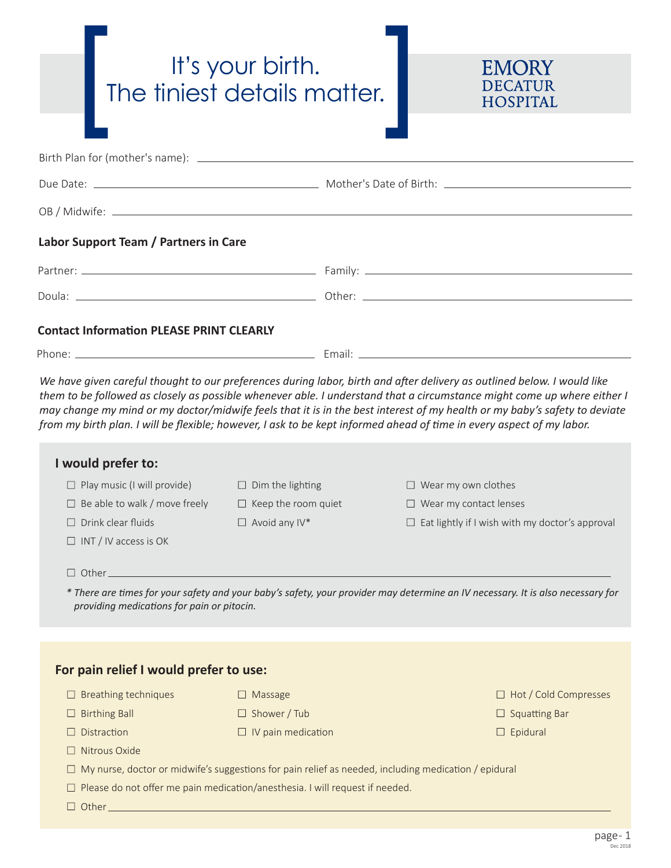| It's your birth.<br>The tiniest details matter.                                                                                                                                  |                                       | <b>EMORY</b><br>DECATUR<br><b>HOSPITAL</b>                                                                                      |
|----------------------------------------------------------------------------------------------------------------------------------------------------------------------------------|---------------------------------------|---------------------------------------------------------------------------------------------------------------------------------|
|                                                                                                                                                                                  |                                       |                                                                                                                                 |
|                                                                                                                                                                                  |                                       |                                                                                                                                 |
|                                                                                                                                                                                  |                                       |                                                                                                                                 |
|                                                                                                                                                                                  |                                       |                                                                                                                                 |
|                                                                                                                                                                                  |                                       |                                                                                                                                 |
| Labor Support Team / Partners in Care                                                                                                                                            |                                       |                                                                                                                                 |
|                                                                                                                                                                                  |                                       |                                                                                                                                 |
|                                                                                                                                                                                  |                                       |                                                                                                                                 |
| <b>Contact Information PLEASE PRINT CLEARLY</b>                                                                                                                                  |                                       |                                                                                                                                 |
|                                                                                                                                                                                  |                                       |                                                                                                                                 |
| I would prefer to:<br>$\Box$ Play music (I will provide) $\Box$ Dim the lighting<br>$\Box$ Be able to walk / move freely $\Box$ Keep the room quiet<br>$\Box$ Drink clear fluids | $\Box$ Avoid any IV*                  | $\Box$ Wear my own clothes<br>$\Box$ Wear my contact lenses<br>$\Box$ Eat lightly if I wish with my doctor's approval           |
| $\Box$ INT / IV access is OK                                                                                                                                                     |                                       |                                                                                                                                 |
|                                                                                                                                                                                  |                                       | $\Box$ Other $\Box$                                                                                                             |
| providing medications for pain or pitocin.                                                                                                                                       |                                       | * There are times for your safety and your baby's safety, your provider may determine an IV necessary. It is also necessary for |
|                                                                                                                                                                                  |                                       |                                                                                                                                 |
| For pain relief I would prefer to use:                                                                                                                                           |                                       |                                                                                                                                 |
| $\Box$ Breathing techniques<br>$\Box$ Birthing Ball                                                                                                                              | $\Box$ Massage<br>$\Box$ Shower / Tub | $\Box$ Hot / Cold Compresses<br>$\Box$ Squatting Bar                                                                            |
| $\Box$ Distraction                                                                                                                                                               | $\Box$ IV pain medication             | $\Box$ Epidural                                                                                                                 |
| $\Box$ Nitrous Oxide                                                                                                                                                             |                                       |                                                                                                                                 |
| $\Box$ My nurse, doctor or midwife's suggestions for pain relief as needed, including medication / epidural                                                                      |                                       |                                                                                                                                 |
| $\Box$ Please do not offer me pain medication/anesthesia. I will request if needed.                                                                                              |                                       |                                                                                                                                 |
|                                                                                                                                                                                  |                                       |                                                                                                                                 |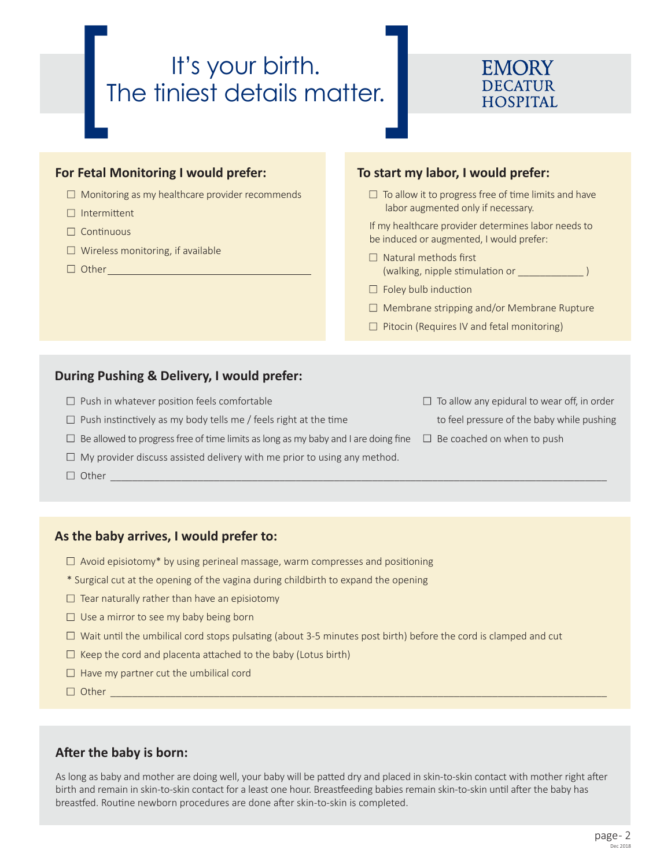# It's your birth. The tiniest details matter.

### **EMORY DECATUR** HOSPITAL

#### For Fetal Monitoring I would prefer: **To start my labor, I would prefer:**

- $\Box$  Monitoring as my healthcare provider recommends
- $\Box$  Intermittent
- $\Box$  Continuous
- $\Box$  Wireless monitoring, if available
- Other

 $\Box$  To allow it to progress free of time limits and have labor augmented only if necessary.

If my healthcare provider determines labor needs to be induced or augmented, I would prefer:

- $\Box$  Natural methods first (walking, nipple stimulation or \_\_\_\_\_\_\_\_\_\_\_\_ )
- $\Box$  Foley bulb induction
- $\Box$  Membrane stripping and/or Membrane Rupture
- $\Box$  Pitocin (Requires IV and fetal monitoring)

#### **During Pushing & Delivery, I would prefer:**

- $\Box$  Push in whatever position feels comfortable
- $\Box$  Push instinctively as my body tells me / feels right at the time
- Be allowed to progress free of time limits as long as my baby and I are doing fine  $\Box$  Be coached on when to push
- $\Box$  My provider discuss assisted delivery with me prior to using any method.
- Other \_\_\_\_\_\_\_\_\_\_\_\_\_\_\_\_\_\_\_\_\_\_\_\_\_\_\_\_\_\_\_\_\_\_\_\_\_\_\_\_\_\_\_\_\_\_\_\_\_\_\_\_\_\_\_\_\_\_\_\_\_\_\_\_\_\_\_\_\_\_\_\_\_\_\_\_\_\_\_\_\_\_\_\_\_\_\_\_\_\_\_

### **As the baby arrives, I would prefer to:**

- $\Box$  Avoid episiotomy\* by using perineal massage, warm compresses and positioning
- \* Surgical cut at the opening of the vagina during childbirth to expand the opening
- $\Box$  Tear naturally rather than have an episiotomy
- $\Box$  Use a mirror to see my baby being born
- $\Box$  Wait until the umbilical cord stops pulsating (about 3-5 minutes post birth) before the cord is clamped and cut
- $\Box$  Keep the cord and placenta attached to the baby (Lotus birth)
- $\Box$  Have my partner cut the umbilical cord
- Other \_\_\_\_\_\_\_\_\_\_\_\_\_\_\_\_\_\_\_\_\_\_\_\_\_\_\_\_\_\_\_\_\_\_\_\_\_\_\_\_\_\_\_\_\_\_\_\_\_\_\_\_\_\_\_\_\_\_\_\_\_\_\_\_\_\_\_\_\_\_\_\_\_\_\_\_\_\_\_\_\_\_\_\_\_\_\_\_\_\_\_

#### **After the baby is born:**

As long as baby and mother are doing well, your baby will be patted dry and placed in skin-to-skin contact with mother right after birth and remain in skin-to-skin contact for a least one hour. Breastfeeding babies remain skin-to-skin until after the baby has breastfed. Routine newborn procedures are done after skin-to-skin is completed.

- $\Box$  To allow any epidural to wear off, in order to feel pressure of the baby while pushing
-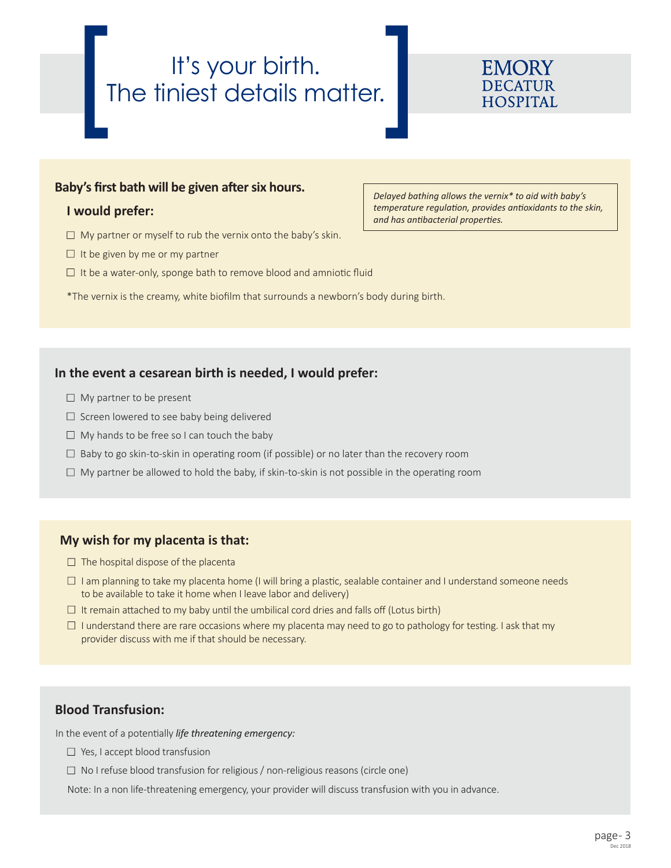# It's your birth. The tiniest details matter.

### **EMORY DECATUR HOSPITAL**

#### **Baby's first bath will be given after six hours.**

#### **I would prefer:**

- $\Box$  My partner or myself to rub the vernix onto the baby's skin.
- $\Box$  It be given by me or my partner
- $\Box$  It be a water-only, sponge bath to remove blood and amniotic fluid
- \*The vernix is the creamy, white biofilm that surrounds a newborn's body during birth.

*Delayed bathing allows the vernix\* to aid with baby's temperature regulation, provides antioxidants to the skin, and has antibacterial properties.*

### **In the event a cesarean birth is needed, I would prefer:**

- $\Box$  My partner to be present
- $\square$  Screen lowered to see baby being delivered
- $\Box$  My hands to be free so I can touch the baby
- $\Box$  Baby to go skin-to-skin in operating room (if possible) or no later than the recovery room
- $\Box$  My partner be allowed to hold the baby, if skin-to-skin is not possible in the operating room

### **My wish for my placenta is that:**

- $\Box$  The hospital dispose of the placenta
- $\Box$  I am planning to take my placenta home (I will bring a plastic, sealable container and I understand someone needs to be available to take it home when I leave labor and delivery)
- $\Box$  It remain attached to my baby until the umbilical cord dries and falls off (Lotus birth)
- $\Box$  I understand there are rare occasions where my placenta may need to go to pathology for testing. I ask that my provider discuss with me if that should be necessary.

### **Blood Transfusion:**

In the event of a potentially *life threatening emergency:*

- □ Yes, I accept blood transfusion
- $\Box$  No I refuse blood transfusion for religious / non-religious reasons (circle one)

Note: In a non life-threatening emergency, your provider will discuss transfusion with you in advance.